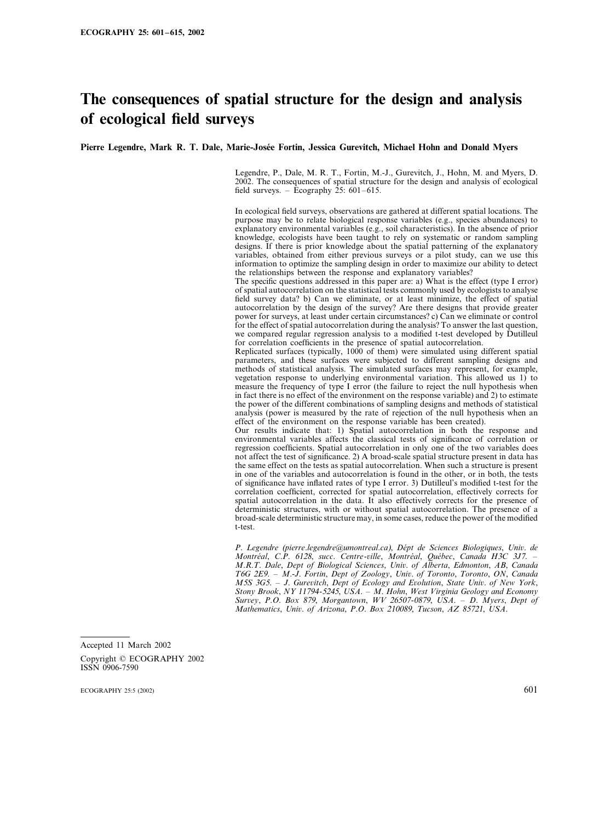# **The consequences of spatial structure for the design and analysis of ecological field surveys**

Pierre Legendre, Mark R. T. Dale, Marie-Josée Fortin, Jessica Gurevitch, Michael Hohn and Donald Myers

Legendre, P., Dale, M. R. T., Fortin, M.-J., Gurevitch, J., Hohn, M. and Myers, D. 2002. The consequences of spatial structure for the design and analysis of ecological field surveys. – Ecography  $25: 601-615$ .

In ecological field surveys, observations are gathered at different spatial locations. The purpose may be to relate biological response variables (e.g., species abundances) to explanatory environmental variables (e.g., soil characteristics). In the absence of prior knowledge, ecologists have been taught to rely on systematic or random sampling designs. If there is prior knowledge about the spatial patterning of the explanatory variables, obtained from either previous surveys or a pilot study, can we use this information to optimize the sampling design in order to maximize our ability to detect the relationships between the response and explanatory variables?

The specific questions addressed in this paper are: a) What is the effect (type I error) of spatial autocorrelation on the statistical tests commonly used by ecologists to analyse field survey data? b) Can we eliminate, or at least minimize, the effect of spatial autocorrelation by the design of the survey? Are there designs that provide greater power for surveys, at least under certain circumstances? c) Can we eliminate or control for the effect of spatial autocorrelation during the analysis? To answer the last question, we compared regular regression analysis to a modified t-test developed by Dutilleul for correlation coefficients in the presence of spatial autocorrelation.

Replicated surfaces (typically, 1000 of them) were simulated using different spatial parameters, and these surfaces were subjected to different sampling designs and methods of statistical analysis. The simulated surfaces may represent, for example, vegetation response to underlying environmental variation. This allowed us 1) to measure the frequency of type I error (the failure to reject the null hypothesis when in fact there is no effect of the environment on the response variable) and 2) to estimate the power of the different combinations of sampling designs and methods of statistical analysis (power is measured by the rate of rejection of the null hypothesis when an effect of the environment on the response variable has been created).

Our results indicate that: 1) Spatial autocorrelation in both the response and environmental variables affects the classical tests of significance of correlation or regression coefficients. Spatial autocorrelation in only one of the two variables does not affect the test of significance. 2) A broad-scale spatial structure present in data has the same effect on the tests as spatial autocorrelation. When such a structure is present in one of the variables and autocorrelation is found in the other, or in both, the tests of significance have inflated rates of type I error. 3) Dutilleul's modified t-test for the correlation coefficient, corrected for spatial autocorrelation, effectively corrects for spatial autocorrelation in the data. It also effectively corrects for the presence of deterministic structures, with or without spatial autocorrelation. The presence of a broad-scale deterministic structure may, in some cases, reduce the power of the modified t-test.

*P*. *Legendre* (*pierre*.*legendre@umontreal*.*ca*), *De´pt de Sciences Biologiques*, *Uni*. *de Montre´al*, *C*.*P*. <sup>6128</sup>, *succ*. *Centre*-*ille*, *Montre´al*, *Que´bec*, *Canada H*3*C* <sup>3</sup>*J*7. – *M*.*R*.*T*. *Dale*, *Dept of Biological Sciences*, *Uni*. *of Alberta*, *Edmonton*, *AB*, *Canada T*6*G* <sup>2</sup>*E*9. – *M*.-*J*. *Fortin*, *Dept of Zoology*, *Uni*. *of Toronto*, *Toronto*, *ON*, *Canada M*5*S* <sup>3</sup>*G*5. – *J*. *Gureitch*, *Dept of Ecology and Eolution*, *State Uni*. *of New York*, *Stony Brook*, *NY* 11794-5245, *USA*. – *M*. *Hohn*, *West Virginia Geology and Economy Surey*, *P*.*O*. *Box* <sup>879</sup>, *Morgantown*, *WV* <sup>26507</sup>-0879, *USA*. – *D*. *Myers*, *Dept of Mathematics*, *Uni*. *of Arizona*, *P*.*O*. *Box* <sup>210089</sup>, *Tucson*, *AZ* <sup>85721</sup>, *USA*.

 $\epsilon$ COGRAPHY 25:5 (2002) 601

Accepted 11 March 2002 Copyright © ECOGRAPHY 2002 ISSN 0906-7590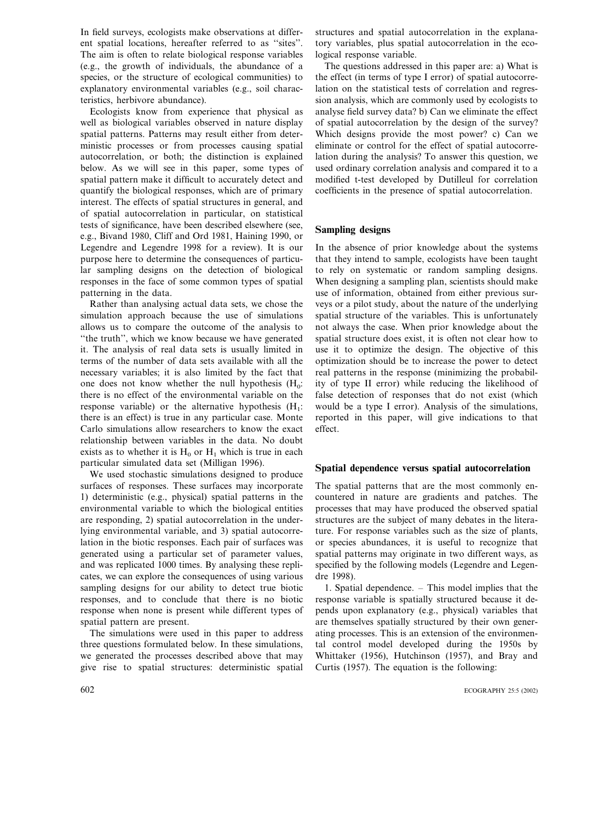In field surveys, ecologists make observations at different spatial locations, hereafter referred to as ''sites''. The aim is often to relate biological response variables (e.g., the growth of individuals, the abundance of a species, or the structure of ecological communities) to explanatory environmental variables (e.g., soil characteristics, herbivore abundance).

Ecologists know from experience that physical as well as biological variables observed in nature display spatial patterns. Patterns may result either from deterministic processes or from processes causing spatial autocorrelation, or both; the distinction is explained below. As we will see in this paper, some types of spatial pattern make it difficult to accurately detect and quantify the biological responses, which are of primary interest. The effects of spatial structures in general, and of spatial autocorrelation in particular, on statistical tests of significance, have been described elsewhere (see, e.g., Bivand 1980, Cliff and Ord 1981, Haining 1990, or Legendre and Legendre 1998 for a review). It is our purpose here to determine the consequences of particular sampling designs on the detection of biological responses in the face of some common types of spatial patterning in the data.

Rather than analysing actual data sets, we chose the simulation approach because the use of simulations allows us to compare the outcome of the analysis to ''the truth'', which we know because we have generated it. The analysis of real data sets is usually limited in terms of the number of data sets available with all the necessary variables; it is also limited by the fact that one does not know whether the null hypothesis  $(H_0:$ there is no effect of the environmental variable on the response variable) or the alternative hypothesis  $(H_1:$ there is an effect) is true in any particular case. Monte Carlo simulations allow researchers to know the exact relationship between variables in the data. No doubt exists as to whether it is  $H_0$  or  $H_1$  which is true in each particular simulated data set (Milligan 1996).

We used stochastic simulations designed to produce surfaces of responses. These surfaces may incorporate 1) deterministic (e.g., physical) spatial patterns in the environmental variable to which the biological entities are responding, 2) spatial autocorrelation in the underlying environmental variable, and 3) spatial autocorrelation in the biotic responses. Each pair of surfaces was generated using a particular set of parameter values, and was replicated 1000 times. By analysing these replicates, we can explore the consequences of using various sampling designs for our ability to detect true biotic responses, and to conclude that there is no biotic response when none is present while different types of spatial pattern are present.

The simulations were used in this paper to address three questions formulated below. In these simulations, we generated the processes described above that may give rise to spatial structures: deterministic spatial

structures and spatial autocorrelation in the explanatory variables, plus spatial autocorrelation in the ecological response variable.

The questions addressed in this paper are: a) What is the effect (in terms of type I error) of spatial autocorrelation on the statistical tests of correlation and regression analysis, which are commonly used by ecologists to analyse field survey data? b) Can we eliminate the effect of spatial autocorrelation by the design of the survey? Which designs provide the most power? c) Can we eliminate or control for the effect of spatial autocorrelation during the analysis? To answer this question, we used ordinary correlation analysis and compared it to a modified t-test developed by Dutilleul for correlation coefficients in the presence of spatial autocorrelation.

#### **Sampling designs**

In the absence of prior knowledge about the systems that they intend to sample, ecologists have been taught to rely on systematic or random sampling designs. When designing a sampling plan, scientists should make use of information, obtained from either previous surveys or a pilot study, about the nature of the underlying spatial structure of the variables. This is unfortunately not always the case. When prior knowledge about the spatial structure does exist, it is often not clear how to use it to optimize the design. The objective of this optimization should be to increase the power to detect real patterns in the response (minimizing the probability of type II error) while reducing the likelihood of false detection of responses that do not exist (which would be a type I error). Analysis of the simulations, reported in this paper, will give indications to that effect.

#### **Spatial dependence versus spatial autocorrelation**

The spatial patterns that are the most commonly encountered in nature are gradients and patches. The processes that may have produced the observed spatial structures are the subject of many debates in the literature. For response variables such as the size of plants, or species abundances, it is useful to recognize that spatial patterns may originate in two different ways, as specified by the following models (Legendre and Legendre 1998).

1. Spatial dependence. – This model implies that the response variable is spatially structured because it depends upon explanatory (e.g., physical) variables that are themselves spatially structured by their own generating processes. This is an extension of the environmental control model developed during the 1950s by Whittaker (1956), Hutchinson (1957), and Bray and Curtis (1957). The equation is the following: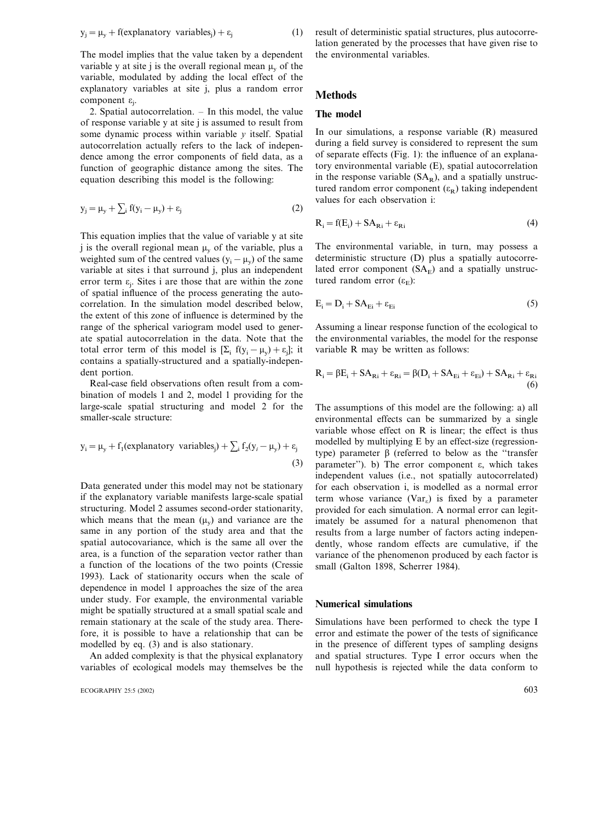$$
y_j = \mu_y + f(\text{explanatory variables}_j) + \varepsilon_j \tag{1}
$$

The model implies that the value taken by a dependent variable y at site j is the overall regional mean  $\mu_{\rm v}$  of the variable, modulated by adding the local effect of the explanatory variables at site j, plus a random error component  $\varepsilon_j$ .

2. Spatial autocorrelation. – In this model, the value of response variable y at site j is assumed to result from some dynamic process within variable *y* itself. Spatial autocorrelation actually refers to the lack of independence among the error components of field data, as a function of geographic distance among the sites. The equation describing this model is the following:

$$
y_j = \mu_y + \sum_i f(y_i - \mu_y) + \varepsilon_j
$$
 (2)

This equation implies that the value of variable y at site j is the overall regional mean  $\mu_{\nu}$  of the variable, plus a weighted sum of the centred values ( $y_i - \mu_y$ ) of the same variable at sites i that surround j, plus an independent error term  $\varepsilon_j$ . Sites i are those that are within the zone of spatial influence of the process generating the autocorrelation. In the simulation model described below, the extent of this zone of influence is determined by the range of the spherical variogram model used to generate spatial autocorrelation in the data. Note that the total error term of this model is  $[\Sigma_i f(y_i - \mu_y) + \varepsilon_j]$ ; it contains a spatially-structured and a spatially-independent portion.

Real-case field observations often result from a combination of models 1 and 2, model 1 providing for the large-scale spatial structuring and model 2 for the smaller-scale structure:

$$
y_i = \mu_y + f_1(\text{explanatory variables}_j) + \sum_i f_2(y_i - \mu_y) + \varepsilon_j
$$
\n(3)

Data generated under this model may not be stationary if the explanatory variable manifests large-scale spatial structuring. Model 2 assumes second-order stationarity, which means that the mean  $(\mu_v)$  and variance are the same in any portion of the study area and that the spatial autocovariance, which is the same all over the area, is a function of the separation vector rather than a function of the locations of the two points (Cressie 1993). Lack of stationarity occurs when the scale of dependence in model 1 approaches the size of the area under study. For example, the environmental variable might be spatially structured at a small spatial scale and remain stationary at the scale of the study area. Therefore, it is possible to have a relationship that can be modelled by eq. (3) and is also stationary.

An added complexity is that the physical explanatory variables of ecological models may themselves be the result of deterministic spatial structures, plus autocorrelation generated by the processes that have given rise to the environmental variables.

# **Methods**

#### **The model**

In our simulations, a response variable (R) measured during a field survey is considered to represent the sum of separate effects (Fig. 1): the influence of an explanatory environmental variable (E), spatial autocorrelation in the response variable  $(SA_R)$ , and a spatially unstructured random error component  $(\epsilon_R)$  taking independent values for each observation i:

$$
\mathbf{R}_{i} = \mathbf{f}(\mathbf{E}_{i}) + \mathbf{S}\mathbf{A}_{\mathbf{R}i} + \varepsilon_{\mathbf{R}i} \tag{4}
$$

The environmental variable, in turn, may possess a deterministic structure (D) plus a spatially autocorrelated error component  $(SA<sub>E</sub>)$  and a spatially unstructured random error  $(\varepsilon_{\rm E})$ :

$$
E_i = D_i + SA_{Ei} + \varepsilon_{Ei}
$$
 (5)

Assuming a linear response function of the ecological to the environmental variables, the model for the response variable R may be written as follows:

$$
R_i = \beta E_i + SA_{Ri} + \varepsilon_{Ri} = \beta(D_i + SA_{Ei} + \varepsilon_{Ei}) + SA_{Ri} + \varepsilon_{Ri}
$$
\n(6)

The assumptions of this model are the following: a) all environmental effects can be summarized by a single variable whose effect on R is linear; the effect is thus modelled by multiplying E by an effect-size (regressiontype) parameter  $\beta$  (referred to below as the "transfer parameter"). b) The error component  $\varepsilon$ , which takes independent values (i.e., not spatially autocorrelated) for each observation i, is modelled as a normal error term whose variance  $(Var_{\varepsilon})$  is fixed by a parameter provided for each simulation. A normal error can legitimately be assumed for a natural phenomenon that results from a large number of factors acting independently, whose random effects are cumulative, if the variance of the phenomenon produced by each factor is small (Galton 1898, Scherrer 1984).

#### **Numerical simulations**

Simulations have been performed to check the type I error and estimate the power of the tests of significance in the presence of different types of sampling designs and spatial structures. Type I error occurs when the null hypothesis is rejected while the data conform to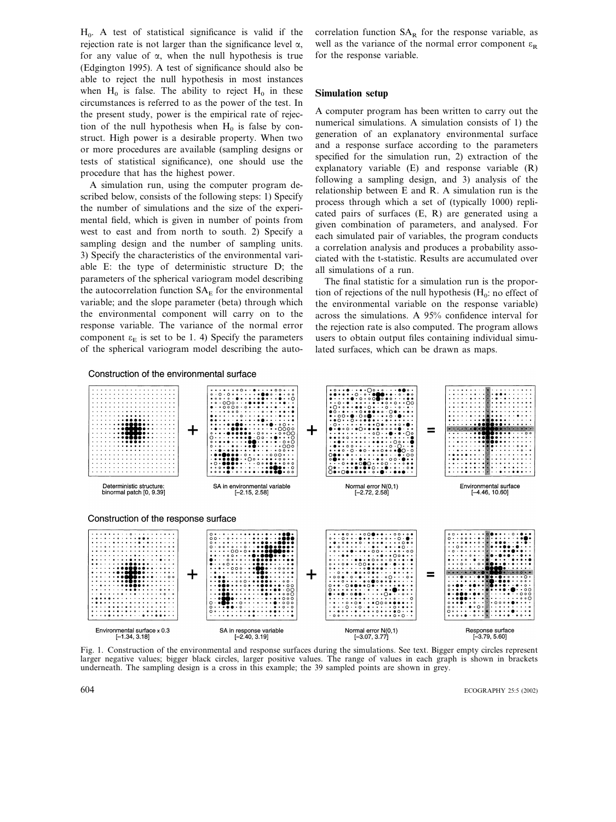$H<sub>0</sub>$ . A test of statistical significance is valid if the rejection rate is not larger than the significance level  $\alpha$ , for any value of  $\alpha$ , when the null hypothesis is true (Edgington 1995). A test of significance should also be able to reject the null hypothesis in most instances when  $H_0$  is false. The ability to reject  $H_0$  in these circumstances is referred to as the power of the test. In the present study, power is the empirical rate of rejection of the null hypothesis when  $H_0$  is false by construct. High power is a desirable property. When two or more procedures are available (sampling designs or tests of statistical significance), one should use the procedure that has the highest power.

A simulation run, using the computer program described below, consists of the following steps: 1) Specify the number of simulations and the size of the experimental field, which is given in number of points from west to east and from north to south. 2) Specify a sampling design and the number of sampling units. 3) Specify the characteristics of the environmental variable E: the type of deterministic structure D; the parameters of the spherical variogram model describing the autocorrelation function  $SA<sub>E</sub>$  for the environmental variable; and the slope parameter (beta) through which the environmental component will carry on to the response variable. The variance of the normal error component  $\varepsilon_E$  is set to be 1. 4) Specify the parameters of the spherical variogram model describing the auto-

correlation function  $SA<sub>R</sub>$  for the response variable, as well as the variance of the normal error component  $\varepsilon_R$ for the response variable.

#### **Simulation setup**

A computer program has been written to carry out the numerical simulations. A simulation consists of 1) the generation of an explanatory environmental surface and a response surface according to the parameters specified for the simulation run, 2) extraction of the explanatory variable (E) and response variable (R) following a sampling design, and 3) analysis of the relationship between E and R. A simulation run is the process through which a set of (typically 1000) replicated pairs of surfaces (E, R) are generated using a given combination of parameters, and analysed. For each simulated pair of variables, the program conducts a correlation analysis and produces a probability associated with the t-statistic. Results are accumulated over all simulations of a run.

The final statistic for a simulation run is the proportion of rejections of the null hypothesis  $(H_0:$  no effect of the environmental variable on the response variable) across the simulations. A 95% confidence interval for the rejection rate is also computed. The program allows users to obtain output files containing individual simulated surfaces, which can be drawn as maps.



Fig. 1. Construction of the environmental and response surfaces during the simulations. See text. Bigger empty circles represent larger negative values; bigger black circles, larger positive values. The range of values in each graph is shown in brackets underneath. The sampling design is a cross in this example; the 39 sampled points are shown in grey.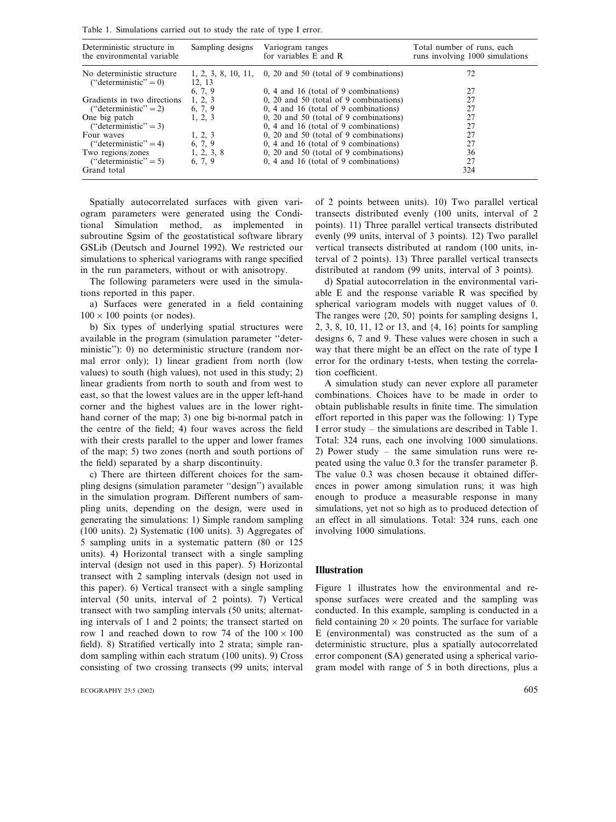Table 1. Simulations carried out to study the rate of type I error.

| Deterministic structure in<br>the environmental variable | Sampling designs | Variogram ranges<br>for variables E and R                  | Total number of runs, each<br>runs involving 1000 simulations |
|----------------------------------------------------------|------------------|------------------------------------------------------------|---------------------------------------------------------------|
| No deterministic structure<br>("deterministic" = 0)      | 12, 13           | 1, 2, 3, 8, 10, 11, 0, 20 and 50 (total of 9 combinations) | 72                                                            |
|                                                          | 6, 7, 9          | 0, 4 and 16 (total of 9 combinations)                      | 27                                                            |
| Gradients in two directions                              | 1, 2, 3          | $0, 20$ and 50 (total of 9 combinations)                   | 27                                                            |
| ("deterministic" = 2)                                    | 6, 7, 9          | $0, 4$ and 16 (total of 9 combinations)                    | 27                                                            |
| One big patch                                            | 1, 2, 3          | $0, 20$ and 50 (total of 9 combinations)                   | 27                                                            |
| ("deterministic" = 3)                                    |                  | $0, 4$ and 16 (total of 9 combinations)                    | 27                                                            |
| Four waves                                               | 1, 2, 3          | $0, 20$ and 50 (total of 9 combinations)                   | 27                                                            |
| ("deterministic" = 4)                                    | 6, 7, 9          | $0, 4$ and 16 (total of 9 combinations)                    | 27                                                            |
| Two regions/zones                                        | 1, 2, 3, 8       | $0, 20$ and $50$ (total of 9 combinations)                 | 36                                                            |
| ("deterministic" $= 5$ )                                 | 6, 7, 9          | $0, 4$ and 16 (total of 9 combinations)                    | 27                                                            |
| Grand total                                              |                  |                                                            | 324                                                           |

Spatially autocorrelated surfaces with given variogram parameters were generated using the Conditional Simulation method, as implemented in subroutine Sgsim of the geostatistical software library GSLib (Deutsch and Journel 1992). We restricted our simulations to spherical variograms with range specified in the run parameters, without or with anisotropy.

The following parameters were used in the simulations reported in this paper.

a) Surfaces were generated in a field containing  $100 \times 100$  points (or nodes).

b) Six types of underlying spatial structures were available in the program (simulation parameter ''deterministic''): 0) no deterministic structure (random normal error only); 1) linear gradient from north (low values) to south (high values), not used in this study; 2) linear gradients from north to south and from west to east, so that the lowest values are in the upper left-hand corner and the highest values are in the lower righthand corner of the map; 3) one big bi-normal patch in the centre of the field; 4) four waves across the field with their crests parallel to the upper and lower frames of the map; 5) two zones (north and south portions of the field) separated by a sharp discontinuity.

c) There are thirteen different choices for the sampling designs (simulation parameter ''design'') available in the simulation program. Different numbers of sampling units, depending on the design, were used in generating the simulations: 1) Simple random sampling (100 units). 2) Systematic (100 units). 3) Aggregates of 5 sampling units in a systematic pattern (80 or 125 units). 4) Horizontal transect with a single sampling interval (design not used in this paper). 5) Horizontal transect with 2 sampling intervals (design not used in this paper). 6) Vertical transect with a single sampling interval (50 units, interval of 2 points). 7) Vertical transect with two sampling intervals (50 units; alternating intervals of 1 and 2 points; the transect started on row 1 and reached down to row 74 of the  $100 \times 100$ field). 8) Stratified vertically into 2 strata; simple random sampling within each stratum (100 units). 9) Cross consisting of two crossing transects (99 units; interval

of 2 points between units). 10) Two parallel vertical transects distributed evenly (100 units, interval of 2 points). 11) Three parallel vertical transects distributed evenly (99 units, interval of 3 points). 12) Two parallel vertical transects distributed at random (100 units, interval of 2 points). 13) Three parallel vertical transects distributed at random (99 units, interval of 3 points).

d) Spatial autocorrelation in the environmental variable E and the response variable R was specified by spherical variogram models with nugget values of 0. The ranges were {20, 50} points for sampling designs 1, 2, 3, 8, 10, 11, 12 or 13, and {4, 16} points for sampling designs 6, 7 and 9. These values were chosen in such a way that there might be an effect on the rate of type I error for the ordinary t-tests, when testing the correlation coefficient.

A simulation study can never explore all parameter combinations. Choices have to be made in order to obtain publishable results in finite time. The simulation effort reported in this paper was the following: 1) Type I error study – the simulations are described in Table 1. Total: 324 runs, each one involving 1000 simulations. 2) Power study – the same simulation runs were repeated using the value  $0.3$  for the transfer parameter  $\beta$ . The value 0.3 was chosen because it obtained differences in power among simulation runs; it was high enough to produce a measurable response in many simulations, yet not so high as to produced detection of an effect in all simulations. Total: 324 runs, each one involving 1000 simulations.

#### **Illustration**

Figure 1 illustrates how the environmental and response surfaces were created and the sampling was conducted. In this example, sampling is conducted in a field containing  $20 \times 20$  points. The surface for variable E (environmental) was constructed as the sum of a deterministic structure, plus a spatially autocorrelated error component (SA) generated using a spherical variogram model with range of 5 in both directions, plus a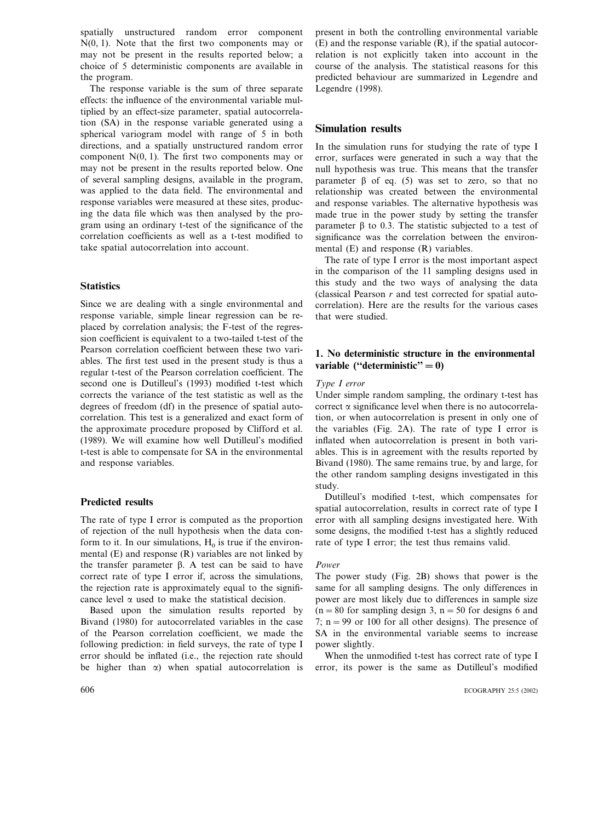spatially unstructured random error component N(0, 1). Note that the first two components may or may not be present in the results reported below; a choice of 5 deterministic components are available in the program.

The response variable is the sum of three separate effects: the influence of the environmental variable multiplied by an effect-size parameter, spatial autocorrelation (SA) in the response variable generated using a spherical variogram model with range of 5 in both directions, and a spatially unstructured random error component  $N(0, 1)$ . The first two components may or may not be present in the results reported below. One of several sampling designs, available in the program, was applied to the data field. The environmental and response variables were measured at these sites, producing the data file which was then analysed by the program using an ordinary t-test of the significance of the correlation coefficients as well as a t-test modified to take spatial autocorrelation into account.

## **Statistics**

Since we are dealing with a single environmental and response variable, simple linear regression can be replaced by correlation analysis; the F-test of the regression coefficient is equivalent to a two-tailed t-test of the Pearson correlation coefficient between these two variables. The first test used in the present study is thus a regular t-test of the Pearson correlation coefficient. The second one is Dutilleul's (1993) modified t-test which corrects the variance of the test statistic as well as the degrees of freedom (df) in the presence of spatial autocorrelation. This test is a generalized and exact form of the approximate procedure proposed by Clifford et al. (1989). We will examine how well Dutilleul's modified t-test is able to compensate for SA in the environmental and response variables.

#### **Predicted results**

The rate of type I error is computed as the proportion of rejection of the null hypothesis when the data conform to it. In our simulations,  $H_0$  is true if the environmental (E) and response (R) variables are not linked by the transfer parameter  $\beta$ . A test can be said to have correct rate of type I error if, across the simulations, the rejection rate is approximately equal to the significance level  $\alpha$  used to make the statistical decision.

Based upon the simulation results reported by Bivand (1980) for autocorrelated variables in the case of the Pearson correlation coefficient, we made the following prediction: in field surveys, the rate of type I error should be inflated (i.e., the rejection rate should be higher than  $\alpha$ ) when spatial autocorrelation is

present in both the controlling environmental variable (E) and the response variable (R), if the spatial autocorrelation is not explicitly taken into account in the course of the analysis. The statistical reasons for this predicted behaviour are summarized in Legendre and Legendre (1998).

#### **Simulation results**

In the simulation runs for studying the rate of type I error, surfaces were generated in such a way that the null hypothesis was true. This means that the transfer parameter  $\beta$  of eq. (5) was set to zero, so that no relationship was created between the environmental and response variables. The alternative hypothesis was made true in the power study by setting the transfer parameter  $\beta$  to 0.3. The statistic subjected to a test of significance was the correlation between the environmental (E) and response (R) variables.

The rate of type I error is the most important aspect in the comparison of the 11 sampling designs used in this study and the two ways of analysing the data (classical Pearson *r* and test corrected for spatial autocorrelation). Here are the results for the various cases that were studied.

# **1. No deterministic structure in the environmental variable (''deterministic''**=**0)**

#### *Type I error*

Under simple random sampling, the ordinary t-test has correct  $\alpha$  significance level when there is no autocorrelation, or when autocorrelation is present in only one of the variables (Fig. 2A). The rate of type I error is inflated when autocorrelation is present in both variables. This is in agreement with the results reported by Bivand (1980). The same remains true, by and large, for the other random sampling designs investigated in this study.

Dutilleul's modified t-test, which compensates for spatial autocorrelation, results in correct rate of type I error with all sampling designs investigated here. With some designs, the modified t-test has a slightly reduced rate of type I error; the test thus remains valid.

#### *Power*

The power study (Fig. 2B) shows that power is the same for all sampling designs. The only differences in power are most likely due to differences in sample size  $(n=80$  for sampling design 3,  $n=50$  for designs 6 and 7;  $n = 99$  or 100 for all other designs). The presence of SA in the environmental variable seems to increase power slightly.

When the unmodified t-test has correct rate of type I error, its power is the same as Dutilleul's modified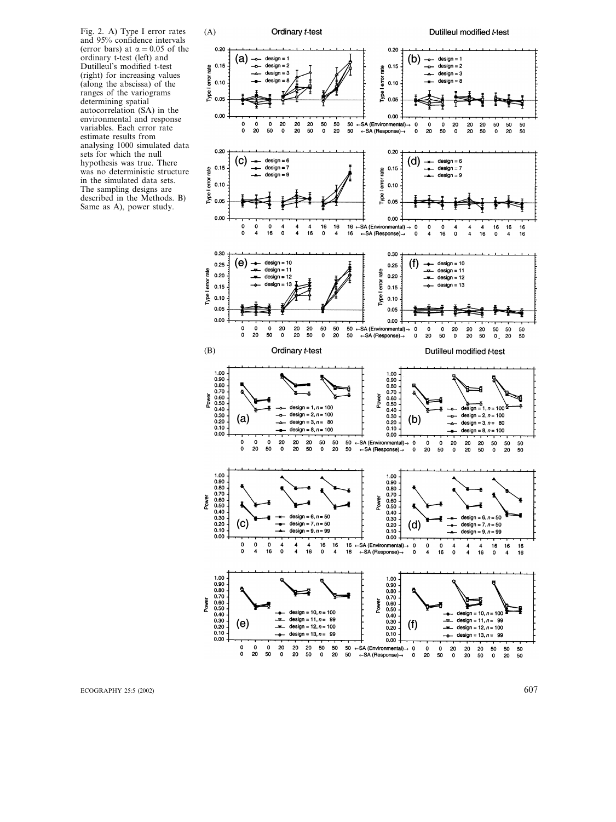Fig. 2. A) Type I error rates and 95% confidence intervals (error bars) at  $\alpha = 0.05$  of the ordinary t-test (left) and Dutilleul's modified t-test (right) for increasing values (along the abscissa) of the ranges of the variograms determining spatial autocorrelation (SA) in the environmental and response variables. Each error rate estimate results from analysing 1000 simulated data sets for which the null hypothesis was true. There was no deterministic structure in the simulated data sets. The sampling designs are described in the Methods. B) Same as A), power study.

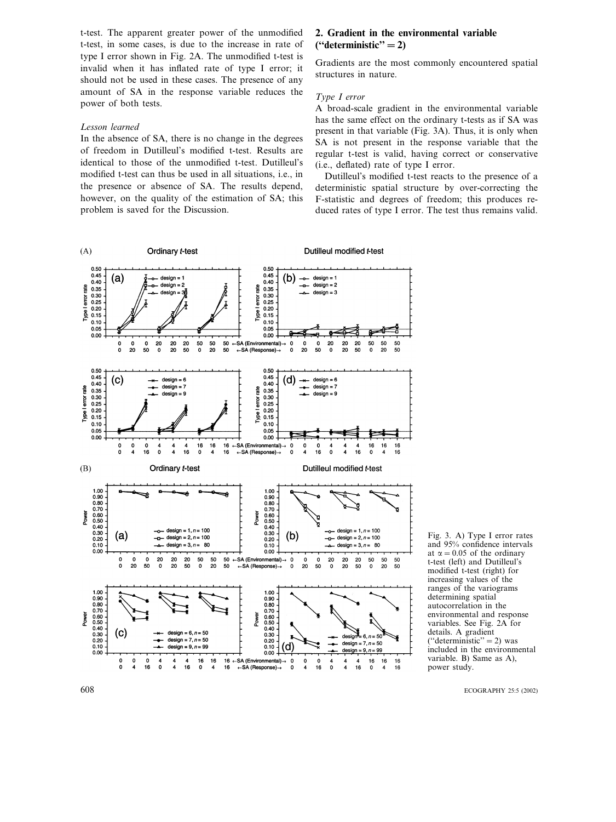t-test. The apparent greater power of the unmodified t-test, in some cases, is due to the increase in rate of type I error shown in Fig. 2A. The unmodified t-test is invalid when it has inflated rate of type I error; it should not be used in these cases. The presence of any amount of SA in the response variable reduces the power of both tests.

#### *Lesson learned*

In the absence of SA, there is no change in the degrees of freedom in Dutilleul's modified t-test. Results are identical to those of the unmodified t-test. Dutilleul's modified t-test can thus be used in all situations, i.e., in the presence or absence of SA. The results depend, however, on the quality of the estimation of SA; this problem is saved for the Discussion.

# **2. Gradient in the environmental variable (''deterministic''**=**2)**

Gradients are the most commonly encountered spatial structures in nature.

#### *Type I error*

A broad-scale gradient in the environmental variable has the same effect on the ordinary t-tests as if SA was present in that variable (Fig. 3A). Thus, it is only when SA is not present in the response variable that the regular t-test is valid, having correct or conservative (i.e., deflated) rate of type I error.

Dutilleul's modified t-test reacts to the presence of a deterministic spatial structure by over-correcting the F-statistic and degrees of freedom; this produces reduced rates of type I error. The test thus remains valid.



Fig. 3. A) Type I error rates and 95% confidence intervals at  $\alpha = 0.05$  of the ordinary t-test (left) and Dutilleul's modified t-test (right) for increasing values of the ranges of the variograms determining spatial autocorrelation in the environmental and response variables. See Fig. 2A for details. A gradient  $("deterministic" = 2)$  was included in the environmental variable. B) Same as A), power study.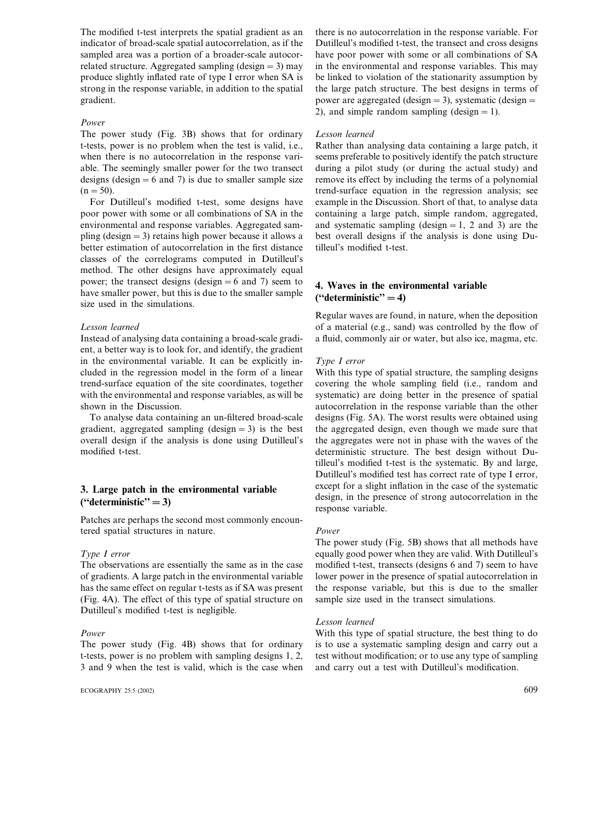The modified t-test interprets the spatial gradient as an indicator of broad-scale spatial autocorrelation, as if the sampled area was a portion of a broader-scale autocorrelated structure. Aggregated sampling (design  $=$  3) may produce slightly inflated rate of type I error when SA is strong in the response variable, in addition to the spatial gradient.

#### *Power*

The power study (Fig. 3B) shows that for ordinary t-tests, power is no problem when the test is valid, i.e., when there is no autocorrelation in the response variable. The seemingly smaller power for the two transect designs (design  $=6$  and 7) is due to smaller sample size  $(n=50)$ .

For Dutilleul's modified t-test, some designs have poor power with some or all combinations of SA in the environmental and response variables. Aggregated sampling (design  $=$  3) retains high power because it allows a better estimation of autocorrelation in the first distance classes of the correlograms computed in Dutilleul's method. The other designs have approximately equal power; the transect designs (design  $=6$  and 7) seem to have smaller power, but this is due to the smaller sample size used in the simulations.

#### *Lesson learned*

Instead of analysing data containing a broad-scale gradient, a better way is to look for, and identify, the gradient in the environmental variable. It can be explicitly included in the regression model in the form of a linear trend-surface equation of the site coordinates, together with the environmental and response variables, as will be shown in the Discussion.

To analyse data containing an un-filtered broad-scale gradient, aggregated sampling  $(d \cdot \text{e} = 3)$  is the best overall design if the analysis is done using Dutilleul's modified t-test.

# **3. Large patch in the environmental variable**  $(^{\circ}$ <del>deterministic</del> $^{\circ}$  = 3)

Patches are perhaps the second most commonly encountered spatial structures in nature.

#### *Type I error*

The observations are essentially the same as in the case of gradients. A large patch in the environmental variable has the same effect on regular t-tests as if SA was present (Fig. 4A). The effect of this type of spatial structure on Dutilleul's modified t-test is negligible.

#### *Power*

The power study (Fig. 4B) shows that for ordinary t-tests, power is no problem with sampling designs 1, 2, 3 and 9 when the test is valid, which is the case when

 $ECOGRAPHY$  25:5 (2002) 609

there is no autocorrelation in the response variable. For Dutilleul's modified t-test, the transect and cross designs have poor power with some or all combinations of SA in the environmental and response variables. This may be linked to violation of the stationarity assumption by the large patch structure. The best designs in terms of power are aggregated (design = 3), systematic (design = 2), and simple random sampling (design  $=1$ ).

#### *Lesson learned*

Rather than analysing data containing a large patch, it seems preferable to positively identify the patch structure during a pilot study (or during the actual study) and remove its effect by including the terms of a polynomial trend-surface equation in the regression analysis; see example in the Discussion. Short of that, to analyse data containing a large patch, simple random, aggregated, and systematic sampling (design  $=1$ , 2 and 3) are the best overall designs if the analysis is done using Dutilleul's modified t-test.

# **4. Waves in the environmental variable**  $(***deterministic** = 4)$

Regular waves are found, in nature, when the deposition of a material (e.g., sand) was controlled by the flow of a fluid, commonly air or water, but also ice, magma, etc.

#### *Type I error*

With this type of spatial structure, the sampling designs covering the whole sampling field (i.e., random and systematic) are doing better in the presence of spatial autocorrelation in the response variable than the other designs (Fig. 5A). The worst results were obtained using the aggregated design, even though we made sure that the aggregates were not in phase with the waves of the deterministic structure. The best design without Dutilleul's modified t-test is the systematic. By and large, Dutilleul's modified test has correct rate of type I error, except for a slight inflation in the case of the systematic design, in the presence of strong autocorrelation in the response variable.

#### *Power*

The power study (Fig. 5B) shows that all methods have equally good power when they are valid. With Dutilleul's modified t-test, transects (designs 6 and 7) seem to have lower power in the presence of spatial autocorrelation in the response variable, but this is due to the smaller sample size used in the transect simulations.

#### *Lesson learned*

With this type of spatial structure, the best thing to do is to use a systematic sampling design and carry out a test without modification; or to use any type of sampling and carry out a test with Dutilleul's modification.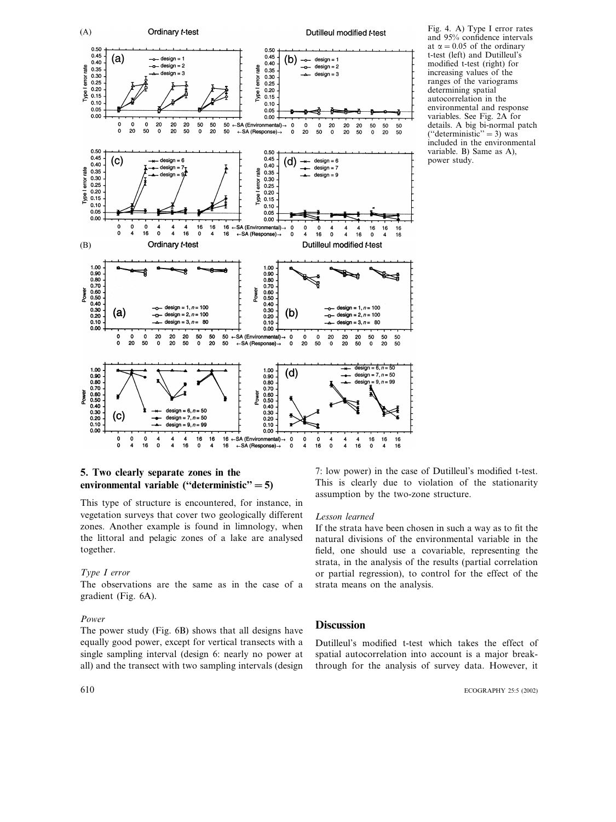

Fig. 4. A) Type I error rates and 95% confidence intervals at  $\alpha = 0.05$  of the ordinary t-test (left) and Dutilleul's modified t-test (right) for increasing values of the ranges of the variograms determining spatial autocorrelation in the environmental and response variables. See Fig. 2A for details. A big bi-normal patch ("deterministic" = 3) was included in the environmental variable. B) Same as A), power study.

# **5. Two clearly separate zones in the environmental variable (''deterministic''**=**5)**

This type of structure is encountered, for instance, in vegetation surveys that cover two geologically different zones. Another example is found in limnology, when the littoral and pelagic zones of a lake are analysed together.

#### *Type I error*

The observations are the same as in the case of a gradient (Fig. 6A).

### *Power*

The power study (Fig. 6B) shows that all designs have equally good power, except for vertical transects with a single sampling interval (design 6: nearly no power at all) and the transect with two sampling intervals (design 7: low power) in the case of Dutilleul's modified t-test. This is clearly due to violation of the stationarity assumption by the two-zone structure.

#### *Lesson learned*

If the strata have been chosen in such a way as to fit the natural divisions of the environmental variable in the field, one should use a covariable, representing the strata, in the analysis of the results (partial correlation or partial regression), to control for the effect of the strata means on the analysis.

## **Discussion**

Dutilleul's modified t-test which takes the effect of spatial autocorrelation into account is a major breakthrough for the analysis of survey data. However, it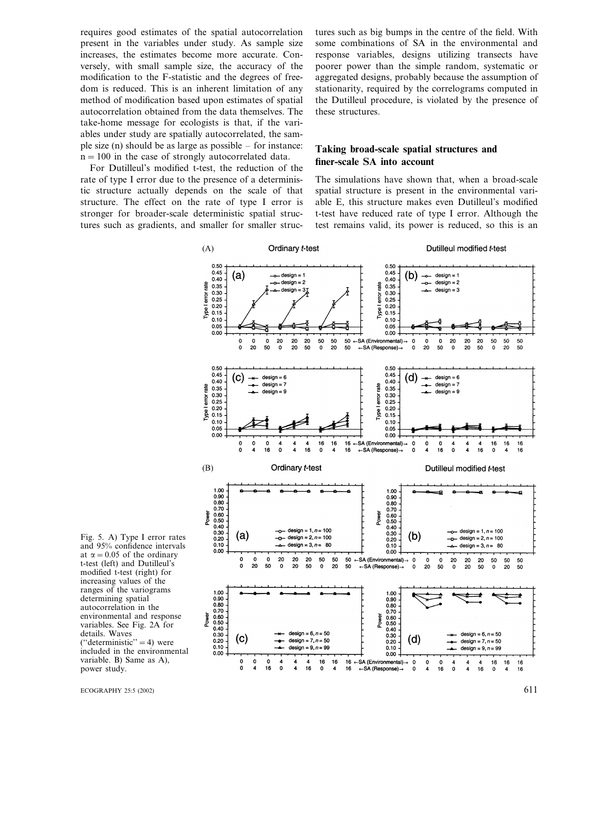requires good estimates of the spatial autocorrelation present in the variables under study. As sample size increases, the estimates become more accurate. Conversely, with small sample size, the accuracy of the modification to the F-statistic and the degrees of freedom is reduced. This is an inherent limitation of any method of modification based upon estimates of spatial autocorrelation obtained from the data themselves. The take-home message for ecologists is that, if the variables under study are spatially autocorrelated, the sample size (n) should be as large as possible – for instance:  $n=100$  in the case of strongly autocorrelated data.

For Dutilleul's modified t-test, the reduction of the rate of type I error due to the presence of a deterministic structure actually depends on the scale of that structure. The effect on the rate of type I error is stronger for broader-scale deterministic spatial structures such as gradients, and smaller for smaller struc-

tures such as big bumps in the centre of the field. With some combinations of SA in the environmental and response variables, designs utilizing transects have poorer power than the simple random, systematic or aggregated designs, probably because the assumption of stationarity, required by the correlograms computed in the Dutilleul procedure, is violated by the presence of these structures.

# **Taking broad-scale spatial structures and finer-scale SA into account**

The simulations have shown that, when a broad-scale spatial structure is present in the environmental variable E, this structure makes even Dutilleul's modified t-test have reduced rate of type I error. Although the test remains valid, its power is reduced, so this is an



Fig. 5. A) Type I error rates and 95% confidence intervals at  $\alpha = 0.05$  of the ordinary t-test (left) and Dutilleul's modified t-test (right) for increasing values of the ranges of the variograms determining spatial autocorrelation in the environmental and response variables. See Fig. 2A for details. Waves  $("deterministic" = 4)$  were included in the environmental variable. B) Same as A), power study.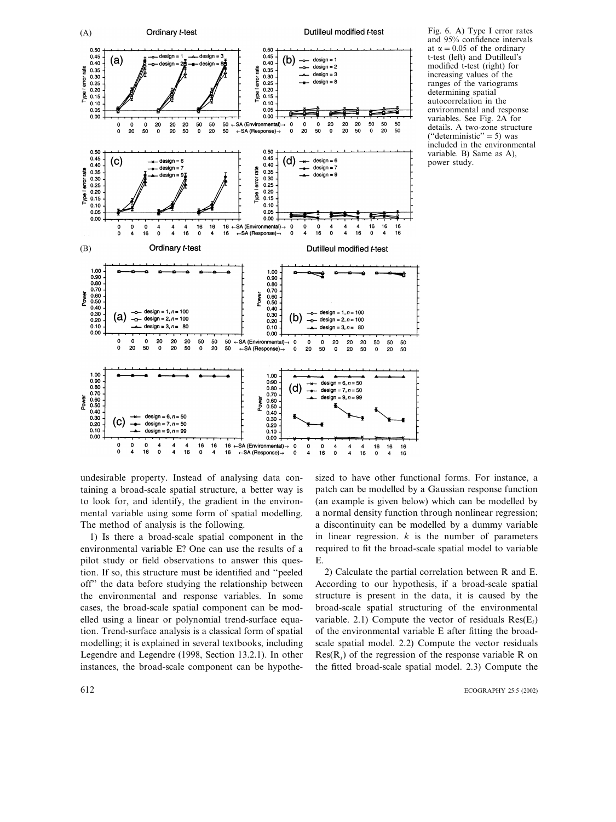

Fig. 6. A) Type I error rates and 95% confidence intervals at  $\alpha = 0.05$  of the ordinary t-test (left) and Dutilleul's modified t-test (right) for increasing values of the ranges of the variograms determining spatial autocorrelation in the environmental and response variables. See Fig. 2A for details. A two-zone structure  $("deterministic" = 5)$  was included in the environmental variable. B) Same as A), power study.

undesirable property. Instead of analysing data containing a broad-scale spatial structure, a better way is to look for, and identify, the gradient in the environmental variable using some form of spatial modelling. The method of analysis is the following.

1) Is there a broad-scale spatial component in the environmental variable E? One can use the results of a pilot study or field observations to answer this question. If so, this structure must be identified and ''peeled off'' the data before studying the relationship between the environmental and response variables. In some cases, the broad-scale spatial component can be modelled using a linear or polynomial trend-surface equation. Trend-surface analysis is a classical form of spatial modelling; it is explained in several textbooks, including Legendre and Legendre (1998, Section 13.2.1). In other instances, the broad-scale component can be hypothe-

sized to have other functional forms. For instance, a patch can be modelled by a Gaussian response function (an example is given below) which can be modelled by a normal density function through nonlinear regression; a discontinuity can be modelled by a dummy variable in linear regression. *k* is the number of parameters required to fit the broad-scale spatial model to variable E.

2) Calculate the partial correlation between R and E. According to our hypothesis, if a broad-scale spatial structure is present in the data, it is caused by the broad-scale spatial structuring of the environmental variable. 2.1) Compute the vector of residuals Res(E*i*) of the environmental variable E after fitting the broadscale spatial model. 2.2) Compute the vector residuals  $Res(R_i)$  of the regression of the response variable R on the fitted broad-scale spatial model. 2.3) Compute the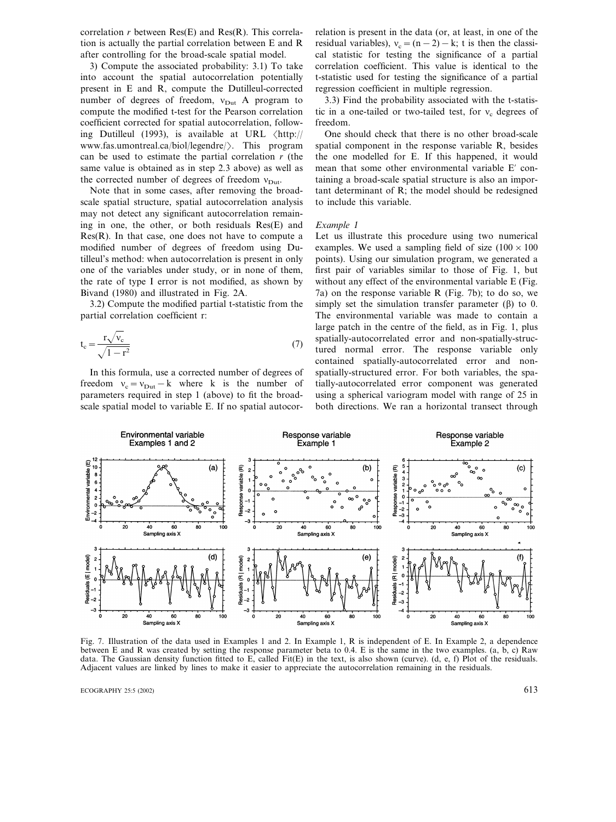correlation *r* between Res(E) and Res(R). This correlation is actually the partial correlation between E and R after controlling for the broad-scale spatial model.

3) Compute the associated probability: 3.1) To take into account the spatial autocorrelation potentially present in E and R, compute the Dutilleul-corrected number of degrees of freedom,  $v_{\text{Dut}}$  A program to compute the modified t-test for the Pearson correlation coefficient corrected for spatial autocorrelation, following Dutilleul (1993), is available at URL  $\langle$ http:// www.fas.umontreal.ca/biol/legendre/>. This program can be used to estimate the partial correlation *r* (the same value is obtained as in step 2.3 above) as well as the corrected number of degrees of freedom  $v_{\text{Dut}}$ .

Note that in some cases, after removing the broadscale spatial structure, spatial autocorrelation analysis may not detect any significant autocorrelation remaining in one, the other, or both residuals Res(E) and Res(R). In that case, one does not have to compute a modified number of degrees of freedom using Dutilleul's method: when autocorrelation is present in only one of the variables under study, or in none of them, the rate of type I error is not modified, as shown by Bivand (1980) and illustrated in Fig. 2A.

3.2) Compute the modified partial t-statistic from the partial correlation coefficient r:

$$
t_c = \frac{r\sqrt{v_c}}{\sqrt{1 - r^2}}\tag{7}
$$

In this formula, use a corrected number of degrees of freedom  $v_c = v_{Dut} - k$  where k is the number of parameters required in step 1 (above) to fit the broadscale spatial model to variable E. If no spatial autocor-

relation is present in the data (or, at least, in one of the residual variables),  $v_c = (n-2) - k$ ; t is then the classical statistic for testing the significance of a partial correlation coefficient. This value is identical to the t-statistic used for testing the significance of a partial regression coefficient in multiple regression.

3.3) Find the probability associated with the t-statistic in a one-tailed or two-tailed test, for  $v_c$  degrees of freedom.

One should check that there is no other broad-scale spatial component in the response variable R, besides the one modelled for E. If this happened, it would mean that some other environmental variable E' containing a broad-scale spatial structure is also an important determinant of R; the model should be redesigned to include this variable.

#### *Example* 1

Let us illustrate this procedure using two numerical examples. We used a sampling field of size  $(100 \times 100)$ points). Using our simulation program, we generated a first pair of variables similar to those of Fig. 1, but without any effect of the environmental variable E (Fig. 7a) on the response variable R (Fig. 7b); to do so, we simply set the simulation transfer parameter  $(\beta)$  to 0. The environmental variable was made to contain a large patch in the centre of the field, as in Fig. 1, plus spatially-autocorrelated error and non-spatially-structured normal error. The response variable only contained spatially-autocorrelated error and nonspatially-structured error. For both variables, the spatially-autocorrelated error component was generated using a spherical variogram model with range of 25 in both directions. We ran a horizontal transect through



Fig. 7. Illustration of the data used in Examples 1 and 2. In Example 1, R is independent of E. In Example 2, a dependence between E and R was created by setting the response parameter beta to 0.4. E is the same in the two examples. (a, b, c) Raw data. The Gaussian density function fitted to E, called Fit(E) in the text, is also shown (curve). (d, e, f) Plot of the residuals. Adjacent values are linked by lines to make it easier to appreciate the autocorrelation remaining in the residuals.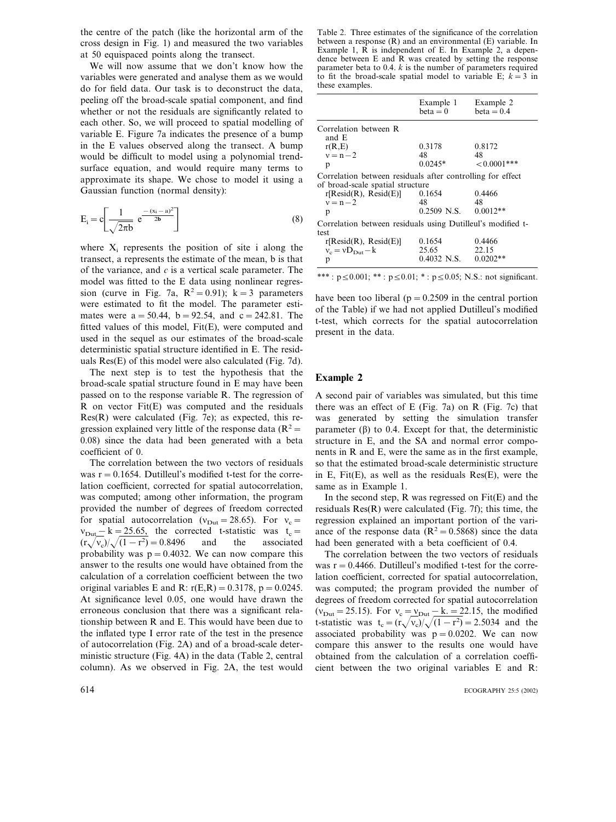the centre of the patch (like the horizontal arm of the cross design in Fig. 1) and measured the two variables at 50 equispaced points along the transect.

We will now assume that we don't know how the variables were generated and analyse them as we would do for field data. Our task is to deconstruct the data, peeling off the broad-scale spatial component, and find whether or not the residuals are significantly related to each other. So, we will proceed to spatial modelling of variable E. Figure 7a indicates the presence of a bump in the E values observed along the transect. A bump would be difficult to model using a polynomial trendsurface equation, and would require many terms to approximate its shape. We chose to model it using a Gaussian function (normal density):

$$
E_i = c \left[ \frac{1}{\sqrt{2\pi b}} e^{-\frac{(x_i - a)^2}{2b}} \right]
$$
 (8)

where  $X_i$  represents the position of site i along the transect, a represents the estimate of the mean, b is that of the variance, and *c* is a vertical scale parameter. The model was fitted to the E data using nonlinear regression (curve in Fig. 7a,  $R^2 = 0.91$ ); k = 3 parameters were estimated to fit the model. The parameter estimates were  $a = 50.44$ ,  $b = 92.54$ , and  $c = 242.81$ . The fitted values of this model, Fit(E), were computed and used in the sequel as our estimates of the broad-scale deterministic spatial structure identified in E. The residuals Res(E) of this model were also calculated (Fig. 7d).

The next step is to test the hypothesis that the broad-scale spatial structure found in E may have been passed on to the response variable R. The regression of R on vector Fit(E) was computed and the residuals Res(R) were calculated (Fig. 7e); as expected, this regression explained very little of the response data ( $\mathbb{R}^2$  = 0.08) since the data had been generated with a beta coefficient of 0.

The correlation between the two vectors of residuals was  $r = 0.1654$ . Dutilleul's modified t-test for the correlation coefficient, corrected for spatial autocorrelation, was computed; among other information, the program provided the number of degrees of freedom corrected for spatial autocorrelation ( $v_{\text{Dut}}=28.65$ ). For  $v_c=$  $v_{\text{Dut}}$  $k = 25.65$ , the corrected t-statistic was t<sub>c</sub>=  $(\frac{r}{v_c})/\sqrt{(1-r^2)} = 0.8496$  and the associated probability was  $p = 0.4032$ . We can now compare this answer to the results one would have obtained from the calculation of a correlation coefficient between the two original variables E and R:  $r(E,R) = 0.3178$ , p = 0.0245. At significance level 0.05, one would have drawn the erroneous conclusion that there was a significant relationship between R and E. This would have been due to the inflated type I error rate of the test in the presence of autocorrelation (Fig. 2A) and of a broad-scale deterministic structure (Fig. 4A) in the data (Table 2, central column). As we observed in Fig. 2A, the test would

Table 2. Three estimates of the significance of the correlation between a response (R) and an environmental (E) variable. In Example 1, R is independent of E. In Example 2, a dependence between E and R was created by setting the response parameter beta to 0.4. *k* is the number of parameters required to fit the broad-scale spatial model to variable E;  $k = 3$  in these examples.

|                                                                     | Example 1<br>$beta = 0$ | Example 2<br>$beta = 0.4$ |
|---------------------------------------------------------------------|-------------------------|---------------------------|
| Correlation between R<br>and E                                      |                         |                           |
| r(R,E)                                                              | 0.3178                  | 0.8172                    |
| $v = n - 2$                                                         | 48                      | 48                        |
| р                                                                   | $0.0245*$               | $<0.0001***$              |
| Correlation between residuals after controlling for effect          |                         |                           |
| of broad-scale spatial structure                                    |                         |                           |
| r[Resid(R), Resid(E)]                                               | 0.1654                  | 0.4466                    |
| $v = n - 2$                                                         | 48                      | 48                        |
| p                                                                   | $0.2509$ N.S.           | $0.0012**$                |
| Correlation between residuals using Dutilleul's modified t-<br>test |                         |                           |
| r[Resid(R), Resid(E)]                                               | 0.1654                  | 0.4466                    |
| $\sim$ $\sim$ $\sim$ $\sim$ $\sim$ $\sim$                           | 250                     | 22.15                     |

| $v_c = vD_{\text{Dut}} - k$ | 25.65         | 22.15      |
|-----------------------------|---------------|------------|
| $\mathbf{p}$                | $0.4032$ N.S. | $0.0202**$ |

\*\*\* :  $p \le 0.001$ ; \*\* :  $p \le 0.01$ ; \* :  $p \le 0.05$ ; N.S.: not significant.

have been too liberal ( $p = 0.2509$  in the central portion of the Table) if we had not applied Dutilleul's modified t-test, which corrects for the spatial autocorrelation present in the data.

#### **Example 2**

A second pair of variables was simulated, but this time there was an effect of E (Fig. 7a) on R (Fig. 7c) that was generated by setting the simulation transfer parameter  $(\beta)$  to 0.4. Except for that, the deterministic structure in E, and the SA and normal error components in R and E, were the same as in the first example, so that the estimated broad-scale deterministic structure in E, Fit $(E)$ , as well as the residuals  $Res(E)$ , were the same as in Example 1.

In the second step,  $R$  was regressed on  $Fit(E)$  and the residuals  $Res(R)$  were calculated (Fig. 7f); this time, the regression explained an important portion of the variance of the response data ( $R^2 = 0.5868$ ) since the data had been generated with a beta coefficient of 0.4.

The correlation between the two vectors of residuals was  $r = 0.4466$ . Dutilleul's modified t-test for the correlation coefficient, corrected for spatial autocorrelation, was computed; the program provided the number of degrees of freedom corrected for spatial autocorrelation ( $v_{\text{Dut}}$ =25.15). For  $v_c = v_{\text{Dut}}$  – k. = 22.15, the modified t-statistic was  $t_c = (r \sqrt{v_c})/\sqrt{(1 - r^2)} = 2.5034$  and the associated probability was  $p = 0.0202$ . We can now compare this answer to the results one would have obtained from the calculation of a correlation coefficient between the two original variables E and R: